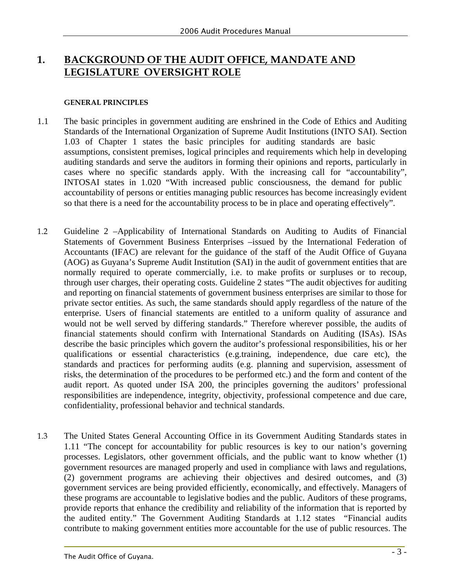# **1. BACKGROUND OF THE AUDIT OFFICE, MANDATE AND LEGISLATURE OVERSIGHT ROLE**

#### **GENERAL PRINCIPLES**

- 1.1 The basic principles in government auditing are enshrined in the Code of Ethics and Auditing Standards of the International Organization of Supreme Audit Institutions (INTO SAI). Section 1.03 of Chapter 1 states the basic principles for auditing standards are basic assumptions, consistent premises, logical principles and requirements which help in developing auditing standards and serve the auditors in forming their opinions and reports, particularly in cases where no specific standards apply. With the increasing call for "accountability", INTOSAI states in 1.020 "With increased public consciousness, the demand for public accountability of persons or entities managing public resources has become increasingly evident so that there is a need for the accountability process to be in place and operating effectively".
- 1.2 Guideline 2 –Applicability of International Standards on Auditing to Audits of Financial Statements of Government Business Enterprises –issued by the International Federation of Accountants (IFAC) are relevant for the guidance of the staff of the Audit Office of Guyana (AOG) as Guyana's Supreme Audit Institution (SAI) in the audit of government entities that are normally required to operate commercially, i.e. to make profits or surpluses or to recoup, through user charges, their operating costs. Guideline 2 states "The audit objectives for auditing and reporting on financial statements of government business enterprises are similar to those for private sector entities. As such, the same standards should apply regardless of the nature of the enterprise. Users of financial statements are entitled to a uniform quality of assurance and would not be well served by differing standards." Therefore wherever possible, the audits of financial statements should confirm with International Standards on Auditing (ISAs). ISAs describe the basic principles which govern the auditor's professional responsibilities, his or her qualifications or essential characteristics (e.g.training, independence, due care etc), the standards and practices for performing audits (e.g. planning and supervision, assessment of risks, the determination of the procedures to be performed etc.) and the form and content of the audit report. As quoted under ISA 200, the principles governing the auditors' professional responsibilities are independence, integrity, objectivity, professional competence and due care, confidentiality, professional behavior and technical standards.
- 1.3 The United States General Accounting Office in its Government Auditing Standards states in 1.11 "The concept for accountability for public resources is key to our nation's governing processes. Legislators, other government officials, and the public want to know whether (1) government resources are managed properly and used in compliance with laws and regulations, (2) government programs are achieving their objectives and desired outcomes, and (3) government services are being provided efficiently, economically, and effectively. Managers of these programs are accountable to legislative bodies and the public. Auditors of these programs, provide reports that enhance the credibility and reliability of the information that is reported by the audited entity." The Government Auditing Standards at 1.12 states "Financial audits contribute to making government entities more accountable for the use of public resources. The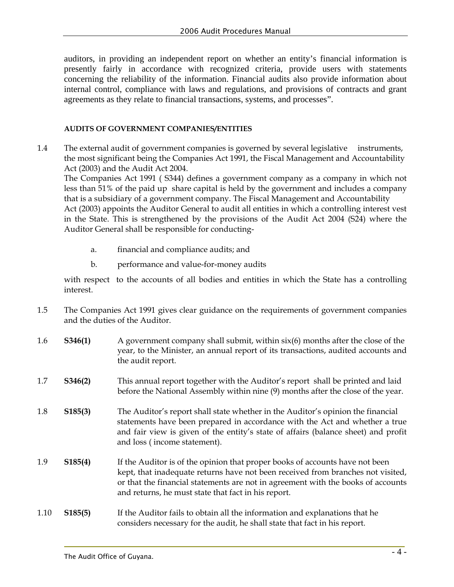auditors, in providing an independent report on whether an entity's financial information is presently fairly in accordance with recognized criteria, provide users with statements concerning the reliability of the information. Financial audits also provide information about internal control, compliance with laws and regulations, and provisions of contracts and grant agreements as they relate to financial transactions, systems, and processes".

### **AUDITS OF GOVERNMENT COMPANIES/ENTITIES**

1.4 The external audit of government companies is governed by several legislative instruments, the most significant being the Companies Act 1991, the Fiscal Management and Accountability Act (2003) and the Audit Act 2004.

The Companies Act 1991 ( S344) defines a government company as a company in which not less than 51% of the paid up share capital is held by the government and includes a company that is a subsidiary of a government company. The Fiscal Management and Accountability

Act (2003) appoints the Auditor General to audit all entities in which a controlling interest vest in the State. This is strengthened by the provisions of the Audit Act 2004 (S24) where the Auditor General shall be responsible for conducting-

- a. financial and compliance audits; and
- b. performance and value-for-money audits

with respect to the accounts of all bodies and entities in which the State has a controlling interest.

- 1.5 The Companies Act 1991 gives clear guidance on the requirements of government companies and the duties of the Auditor.
- 1.6 **S346(1)** A government company shall submit, within six(6) months after the close of the year, to the Minister, an annual report of its transactions, audited accounts and the audit report.
- 1.7 **S346(2)** This annual report together with the Auditor's report shall be printed and laid before the National Assembly within nine (9) months after the close of the year.
- 1.8 **S185(3)** The Auditor's report shall state whether in the Auditor's opinion the financial statements have been prepared in accordance with the Act and whether a true and fair view is given of the entity's state of affairs (balance sheet) and profit and loss ( income statement).
- 1.9 **S185(4)** If the Auditor is of the opinion that proper books of accounts have not been kept, that inadequate returns have not been received from branches not visited, or that the financial statements are not in agreement with the books of accounts and returns, he must state that fact in his report.
- 1.10 **S185(5)** If the Auditor fails to obtain all the information and explanations that he considers necessary for the audit, he shall state that fact in his report.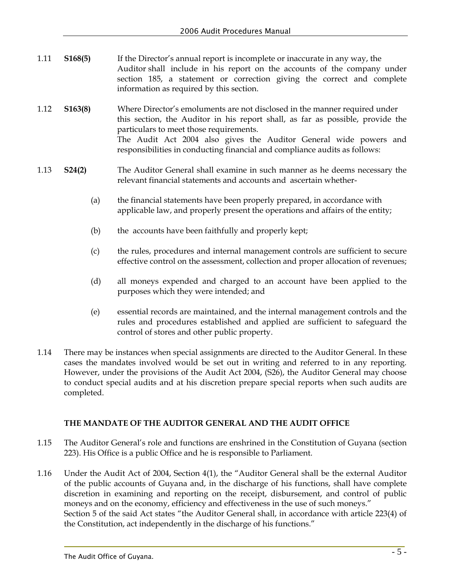- 1.11 **S168(5)** If the Director's annual report is incomplete or inaccurate in any way, the Auditor shall include in his report on the accounts of the company under section 185, a statement or correction giving the correct and complete information as required by this section.
- 1.12 **S163(8)** Where Director's emoluments are not disclosed in the manner required under this section, the Auditor in his report shall, as far as possible, provide the particulars to meet those requirements. The Audit Act 2004 also gives the Auditor General wide powers and responsibilities in conducting financial and compliance audits as follows:
- 1.13 **S24(2)** The Auditor General shall examine in such manner as he deems necessary the relevant financial statements and accounts and ascertain whether-
	- (a) the financial statements have been properly prepared, in accordance with applicable law, and properly present the operations and affairs of the entity;
	- (b) the accounts have been faithfully and properly kept;
	- (c) the rules, procedures and internal management controls are sufficient to secure effective control on the assessment, collection and proper allocation of revenues;
	- (d) all moneys expended and charged to an account have been applied to the purposes which they were intended; and
	- (e) essential records are maintained, and the internal management controls and the rules and procedures established and applied are sufficient to safeguard the control of stores and other public property.
- 1.14 There may be instances when special assignments are directed to the Auditor General. In these cases the mandates involved would be set out in writing and referred to in any reporting. However, under the provisions of the Audit Act 2004, (S26), the Auditor General may choose to conduct special audits and at his discretion prepare special reports when such audits are completed.

### **THE MANDATE OF THE AUDITOR GENERAL AND THE AUDIT OFFICE**

- 1.15 The Auditor General's role and functions are enshrined in the Constitution of Guyana (section 223). His Office is a public Office and he is responsible to Parliament.
- 1.16 Under the Audit Act of 2004, Section 4(1), the "Auditor General shall be the external Auditor of the public accounts of Guyana and, in the discharge of his functions, shall have complete discretion in examining and reporting on the receipt, disbursement, and control of public moneys and on the economy, efficiency and effectiveness in the use of such moneys." Section 5 of the said Act states "the Auditor General shall, in accordance with article 223(4) of the Constitution, act independently in the discharge of his functions."